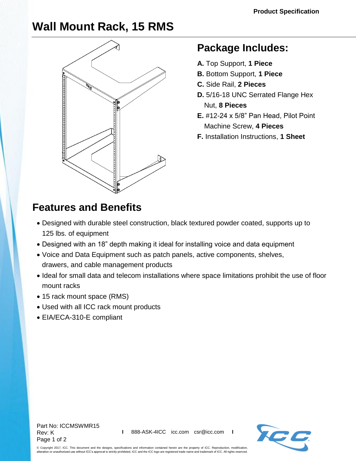## **Wall Mount Rack, 15 RMS**



## **Package Includes:**

- **A.** Top Support, **1 Piece**
- **B.** Bottom Support, **1 Piece**
- **C.** Side Rail, **2 Pieces**
- **D.** 5/16-18 UNC Serrated Flange Hex Nut, **8 Pieces**
- **E.** #12-24 x 5/8" Pan Head, Pilot Point Machine Screw, **4 Pieces**
- **F.** Installation Instructions, **1 Sheet**

## **Features and Benefits**

- Designed with durable steel construction, black textured powder coated, supports up to 125 lbs. of equipment
- Designed with an 18" depth making it ideal for installing voice and data equipment
- Voice and Data Equipment such as [patch panels,](http://www.icc.com/c/40/patch-panels) active components, [shelves,](http://www.icc.com/c/53/shelves) drawers, and [cable management](http://www.icc.com/c/164/horizontal-panels) products
- Ideal for small data and telecom installations where space limitations prohibit the use of floor mount racks
- 15 rack mount space (RMS)
- Used with all ICC rack mount products
- EIA/ECA-310-E compliant

Part No: ICCMSWMR15 Rev: K Page 1 of 2



© Copyright 2017, ICC. This document and the designs, specifications and information contained herein are the property of ICC. Reproduction, modification, alteration or unauthorized use without ICC's approval is strictly prohibited. ICC and the ICC logo are registered trade name and trademark of ICC. All rights reserved.